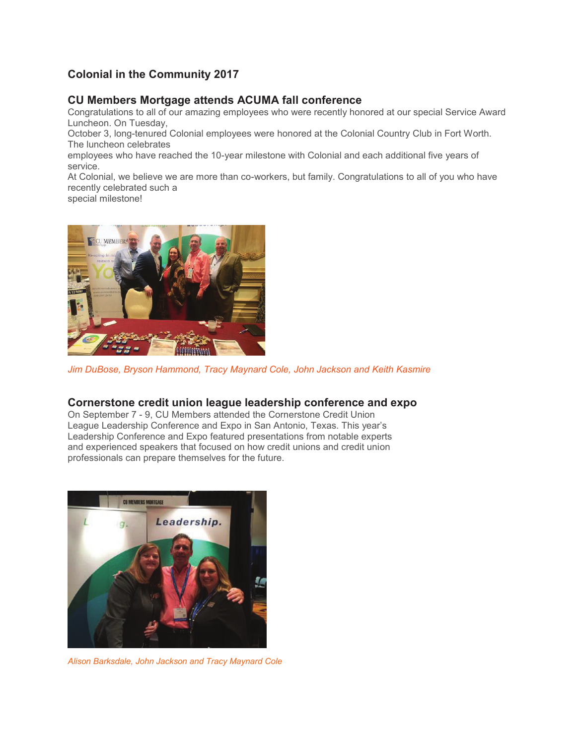# **Colonial in the Community 2017**

### **CU Members Mortgage attends ACUMA fall conference**

Congratulations to all of our amazing employees who were recently honored at our special Service Award Luncheon. On Tuesday,

October 3, long-tenured Colonial employees were honored at the Colonial Country Club in Fort Worth. The luncheon celebrates

employees who have reached the 10-year milestone with Colonial and each additional five years of service.

At Colonial, we believe we are more than co-workers, but family. Congratulations to all of you who have recently celebrated such a

special milestone!



*Jim DuBose, Bryson Hammond, Tracy Maynard Cole, John Jackson and Keith Kasmire* 

#### **Cornerstone credit union league leadership conference and expo**

On September 7 - 9, CU Members attended the Cornerstone Credit Union League Leadership Conference and Expo in San Antonio, Texas. This year's Leadership Conference and Expo featured presentations from notable experts and experienced speakers that focused on how credit unions and credit union professionals can prepare themselves for the future.



*Alison Barksdale, John Jackson and Tracy Maynard Cole*